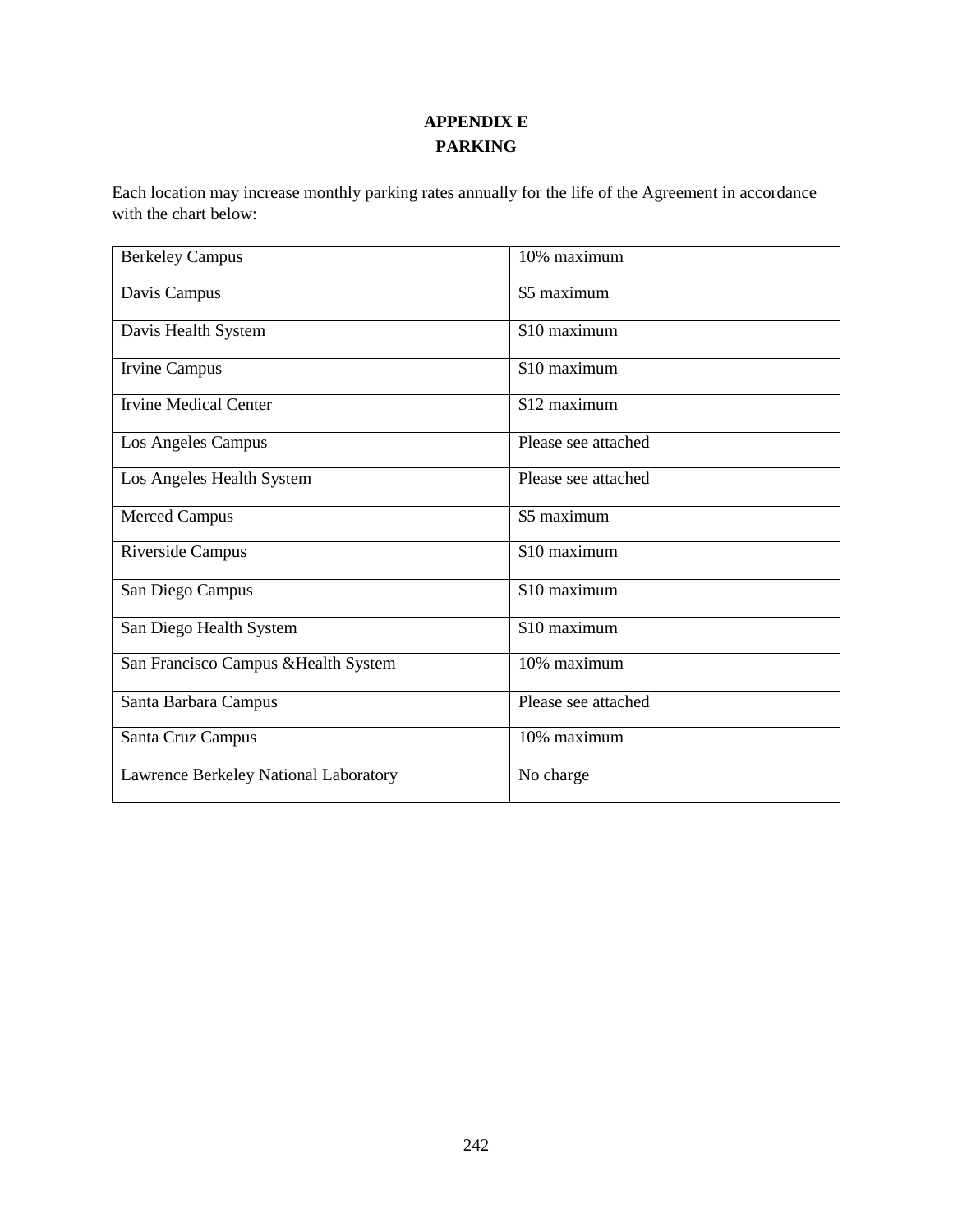## **APPENDIX E PARKING**

Each location may increase monthly parking rates annually for the life of the Agreement in accordance with the chart below:

| <b>Berkeley Campus</b>                | 10% maximum         |
|---------------------------------------|---------------------|
| Davis Campus                          | \$5 maximum         |
| Davis Health System                   | \$10 maximum        |
| <b>Irvine Campus</b>                  | \$10 maximum        |
| <b>Irvine Medical Center</b>          | \$12 maximum        |
| Los Angeles Campus                    | Please see attached |
| Los Angeles Health System             | Please see attached |
| <b>Merced Campus</b>                  | \$5 maximum         |
| Riverside Campus                      | \$10 maximum        |
| San Diego Campus                      | \$10 maximum        |
| San Diego Health System               | \$10 maximum        |
| San Francisco Campus & Health System  | 10% maximum         |
| Santa Barbara Campus                  | Please see attached |
| Santa Cruz Campus                     | 10% maximum         |
| Lawrence Berkeley National Laboratory | No charge           |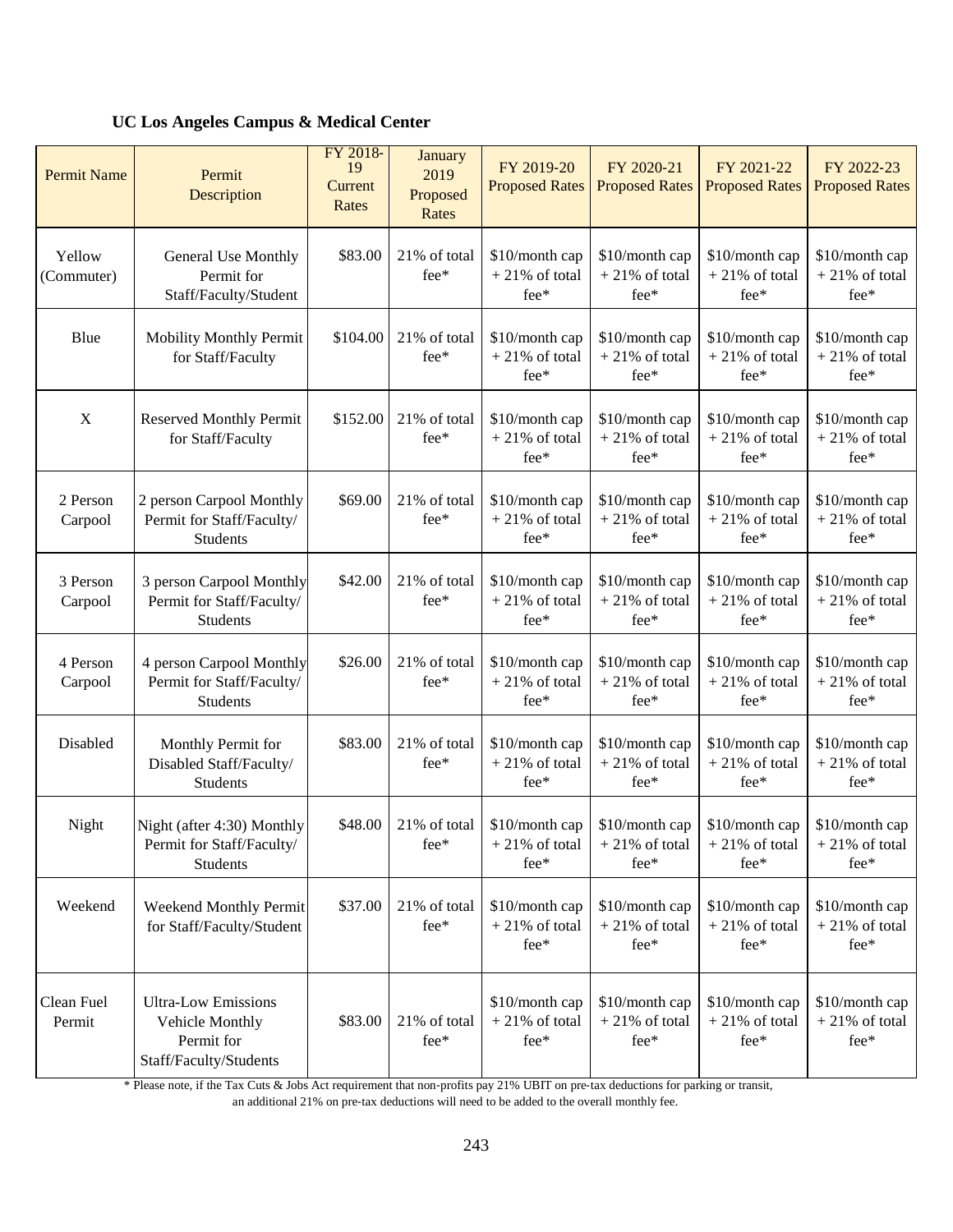**UC Los Angeles Campus & Medical Center**

| <b>Permit Name</b>   | Permit<br>Description                                                                 | FY 2018-<br>19<br>Current<br>Rates | January<br>2019<br>Proposed<br>Rates | FY 2019-20<br><b>Proposed Rates</b>          | FY 2020-21<br><b>Proposed Rates</b>        | FY 2021-22<br><b>Proposed Rates</b>        | FY 2022-23<br><b>Proposed Rates</b>        |
|----------------------|---------------------------------------------------------------------------------------|------------------------------------|--------------------------------------|----------------------------------------------|--------------------------------------------|--------------------------------------------|--------------------------------------------|
| Yellow<br>(Commuter) | <b>General Use Monthly</b><br>Permit for<br>Staff/Faculty/Student                     | \$83.00                            | 21% of total<br>fee*                 | \$10/month cap<br>$+21\%$ of total<br>fee*   | \$10/month cap<br>$+21\%$ of total<br>fee* | \$10/month cap<br>$+21\%$ of total<br>fee* | \$10/month cap<br>$+21\%$ of total<br>fee* |
| Blue                 | Mobility Monthly Permit<br>for Staff/Faculty                                          | \$104.00                           | 21% of total<br>fee*                 | \$10/month cap<br>$+21\%$ of total<br>fee*   | \$10/month cap<br>$+21\%$ of total<br>fee* | \$10/month cap<br>$+21\%$ of total<br>fee* | \$10/month cap<br>$+21\%$ of total<br>fee* |
| $\mathbf X$          | <b>Reserved Monthly Permit</b><br>for Staff/Faculty                                   | \$152.00                           | 21% of total<br>fee*                 | \$10/month cap<br>$+21\%$ of total<br>fee*   | \$10/month cap<br>$+21\%$ of total<br>fee* | \$10/month cap<br>$+21\%$ of total<br>fee* | \$10/month cap<br>$+21\%$ of total<br>fee* |
| 2 Person<br>Carpool  | 2 person Carpool Monthly<br>Permit for Staff/Faculty/<br>Students                     | \$69.00                            | 21% of total<br>fee*                 | \$10/month cap<br>$+21\%$ of total<br>$fee*$ | \$10/month cap<br>$+21\%$ of total<br>fee* | \$10/month cap<br>$+21\%$ of total<br>fee* | \$10/month cap<br>$+21\%$ of total<br>fee* |
| 3 Person<br>Carpool  | 3 person Carpool Monthly<br>Permit for Staff/Faculty/<br>Students                     | \$42.00                            | 21% of total<br>fee*                 | \$10/month cap<br>$+21\%$ of total<br>fee*   | \$10/month cap<br>$+21\%$ of total<br>fee* | \$10/month cap<br>$+21\%$ of total<br>fee* | \$10/month cap<br>$+21\%$ of total<br>fee* |
| 4 Person<br>Carpool  | 4 person Carpool Monthly<br>Permit for Staff/Faculty/<br>Students                     | \$26.00                            | 21% of total<br>fee*                 | \$10/month cap<br>$+21\%$ of total<br>fee*   | \$10/month cap<br>$+21\%$ of total<br>fee* | \$10/month cap<br>$+21\%$ of total<br>fee* | \$10/month cap<br>$+21\%$ of total<br>fee* |
| Disabled             | Monthly Permit for<br>Disabled Staff/Faculty/<br>Students                             | \$83.00                            | 21% of total<br>fee*                 | \$10/month cap<br>$+21\%$ of total<br>fee*   | \$10/month cap<br>$+21\%$ of total<br>fee* | \$10/month cap<br>$+21\%$ of total<br>fee* | \$10/month cap<br>$+21\%$ of total<br>fee* |
| Night                | Night (after 4:30) Monthly<br>Permit for Staff/Faculty/<br><b>Students</b>            | \$48.00                            | 21% of total<br>$\rm{fee^*}$         | \$10/month cap<br>$+21\%$ of total<br>fee*   | \$10/month cap<br>$+21\%$ of total<br>fee* | \$10/month cap<br>$+21\%$ of total<br>fee* | \$10/month cap<br>$+21\%$ of total<br>fee* |
| Weekend              | Weekend Monthly Permit<br>for Staff/Faculty/Student                                   | \$37.00                            | 21% of total<br>fee*                 | \$10/month cap<br>$+21\%$ of total<br>fee*   | \$10/month cap<br>$+21\%$ of total<br>fee* | \$10/month cap<br>$+21\%$ of total<br>fee* | \$10/month cap<br>$+21\%$ of total<br>fee* |
| Clean Fuel<br>Permit | <b>Ultra-Low Emissions</b><br>Vehicle Monthly<br>Permit for<br>Staff/Faculty/Students | \$83.00                            | 21% of total<br>fee*                 | \$10/month cap<br>$+21\%$ of total<br>fee*   | \$10/month cap<br>$+21\%$ of total<br>fee* | \$10/month cap<br>$+21\%$ of total<br>fee* | \$10/month cap<br>$+21\%$ of total<br>fee* |

\* Please note, if the Tax Cuts & Jobs Act requirement that non‐profits pay 21% UBIT on pre‐tax deductions for parking or transit,

an additional 21% on pre‐tax deductions will need to be added to the overall monthly fee.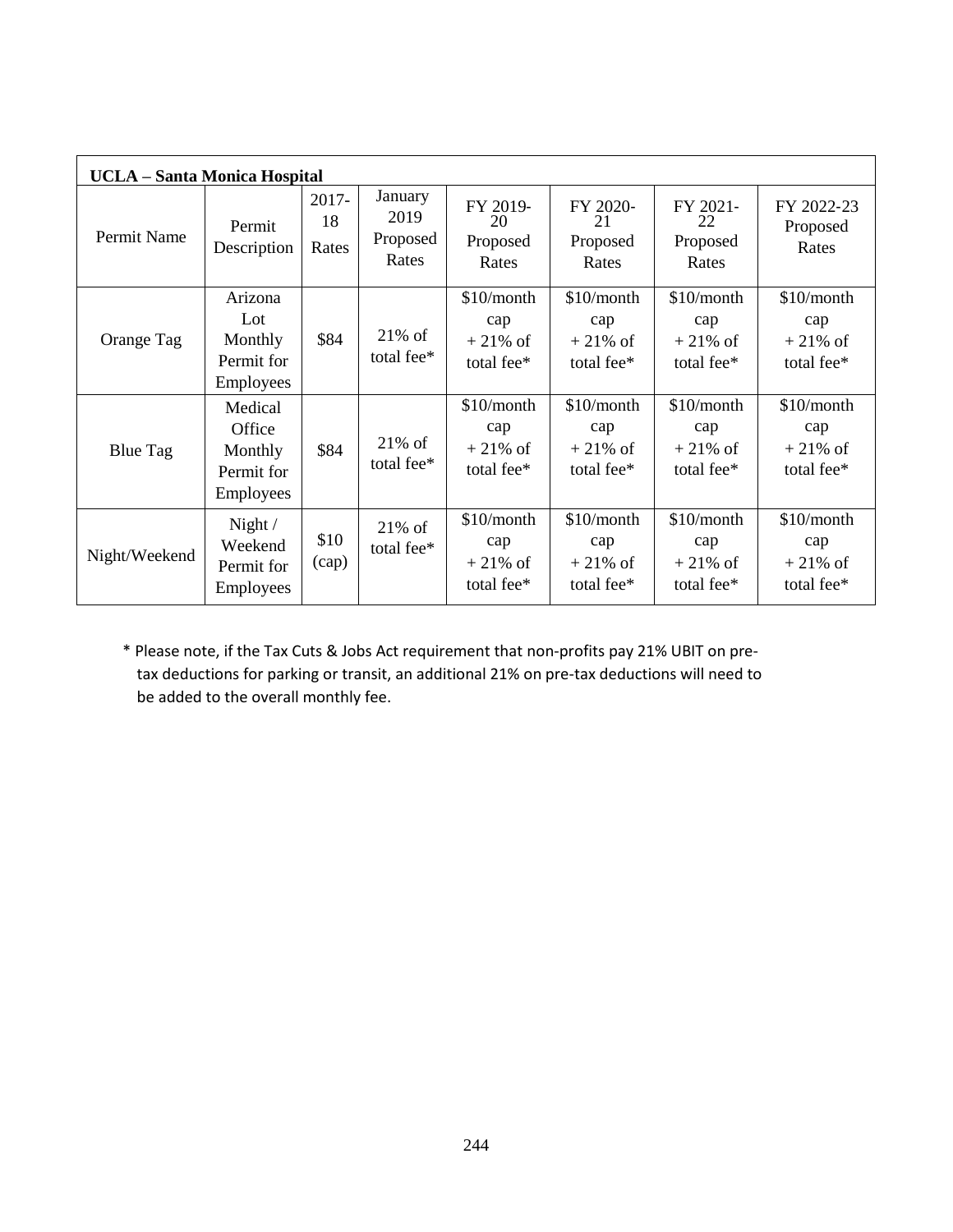| <b>UCLA</b> – Santa Monica Hospital |                                                         |                      |                                      |                                               |                                                           |                                                           |                                               |
|-------------------------------------|---------------------------------------------------------|----------------------|--------------------------------------|-----------------------------------------------|-----------------------------------------------------------|-----------------------------------------------------------|-----------------------------------------------|
| Permit Name                         | Permit<br>Description                                   | 2017-<br>18<br>Rates | January<br>2019<br>Proposed<br>Rates | FY 2019-<br>20<br>Proposed<br>Rates           | FY 2020-<br>21<br>Proposed<br>Rates                       | FY 2021-<br>22<br>Proposed<br>Rates                       | FY 2022-23<br>Proposed<br>Rates               |
| Orange Tag                          | Arizona<br>Lot<br>Monthly<br>Permit for<br>Employees    | \$84                 | $21\%$ of<br>total fee*              | \$10/month<br>cap<br>$+21\%$ of<br>total fee* | \$10/month<br>cap<br>$+21\%$ of<br>total fee*             | $$10/m$ onth<br>cap<br>$+21\%$ of<br>total fee*           | \$10/month<br>cap<br>$+21\%$ of<br>total fee* |
| <b>Blue Tag</b>                     | Medical<br>Office<br>Monthly<br>Permit for<br>Employees | \$84                 | $21\%$ of<br>total fee*              | \$10/month<br>cap<br>$+21\%$ of<br>total fee* | \$10/month<br>cap<br>$+21\%$ of<br>total fee <sup>*</sup> | \$10/month<br>cap<br>$+21\%$ of<br>total fee <sup>*</sup> | \$10/month<br>cap<br>$+21\%$ of<br>total fee* |
| Night/Weekend                       | Night $/$<br>Weekend<br>Permit for<br>Employees         | \$10<br>(cap)        | $21\%$ of<br>total fee*              | \$10/month<br>cap<br>$+21\%$ of<br>total fee* | \$10/month<br>cap<br>$+21\%$ of<br>total fee*             | \$10/month<br>cap<br>$+21\%$ of<br>total fee*             | \$10/month<br>cap<br>$+21\%$ of<br>total fee* |

\* Please note, if the Tax Cuts & Jobs Act requirement that non‐profits pay 21% UBIT on pre‐ tax deductions for parking or transit, an additional 21% on pre‐tax deductions will need to be added to the overall monthly fee.